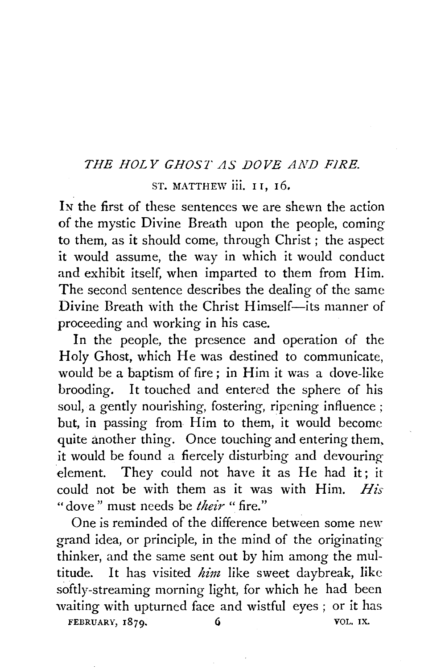## *THE HOLY GHOST AS DOVE AND FJRE.*

ST. MATTHEW iii. 11, 16.

IN the first of these sentences we are shewn the action of the mystic Divine Breath upon the people, coming to them, as it should come, through Christ ; the aspect it would assume, the way in which it would conduct and exhibit itself, when imparted to them from Him. The second sentence describes the dealing of the same Divine Breath with the Christ Himself-its manner of proceeding and working in his case.

In the people, the presence and operation of the Holy Ghost, which He was destined to communicate, would be a baptism of fire; in Him it was a dove-like brooding. It touched and entered the sphere of his soul, a gently nourishing, fostering, ripening influence ; but, in passing from Him to them, it would become quite another thing. Once touching and entering them. it would be found a fiercely disturbing and devouring element. They could not have it as He had it; it could not be with them as it was with Him. *His*  " dove" must needs be *their* "fire."

One is reminded of the difference between some new grand idea, or principle, in the mind of the originatingthinker, and the same sent out by him among the multitude. It has visited *him* like sweet daybreak, like softly-streaming morning light, for which he had been waiting with upturned face and wistful eyes ; or it has FEBRUARY, 1879. 6 VOL. IX.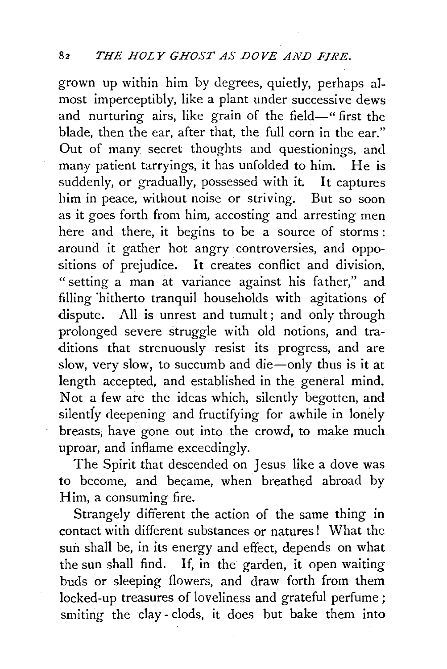grown up within him by degrees, quietly, perhaps almost imperceptibly, like a plant under successive dews and nurturing airs, like grain of the field-" first the blade, then the ear, after that, the full corn in the ear." Out of many secret thoughts and questionings, and many patient tarryings, it has unfolded to him. He is suddenly, or gradually, possessed with it. It captures him in peace, without noise or striving. But so soon as it goes forth from him, accosting and arresting men here and there, it begins to be a source of storms : around it gather hot angry controversies, and oppositions of prejudice. It creates conflict and division, "setting a man at variance against his father," and filling 'hitherto tranquil households with agitations of dispute. All is unrest and tumult; and only through prolonged severe struggle with old notions, and traditions that strenuously resist its progress, and are slow, very slow, to succumb and die-only thus is it at length accepted, and established in the general mind. Not a few are the ideas which, silently begotten, and silently deepening and fructifying for awhile in lonely breasts, have gone out into the crowd, to make much uproar, and inflame exceedingly.

The Spirit that descended on Jesus like a dove was to become, and became, when breathed abroad by Him, a consuming fire.

Strangely different the action of the same thing in contact with different substances or natures! What the sun shall be, in its energy and effect, depends on what the sun shall find. If, in the garden, it open waiting buds or sleeping flowers, and draw forth from them locked-up treasures of loveliness and grateful perfume; smiting the clay - clods, it does but bake them into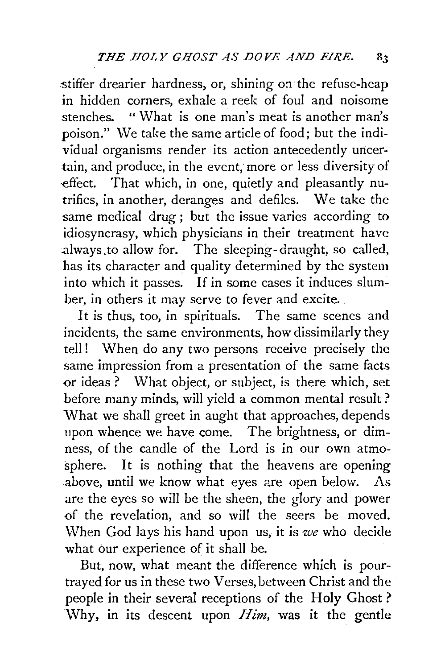stiffer drearier hardness, or, shining on the refuse-heap in hidden corners, exhale a reek of foul and noisome stenches. "What is one man's meat is another man's poison." \Ve take the same article of food; but the individual organisms render its action antecedently uncertain, and produce, in the event; more or less diversity of effect. That which, in one, quietly and pleasantly nutrifies, in another, deranges and defiles. We take the same medical drug; but the issue varies according to idiosyncrasy, which physicians in their treatment have :always .to allow for. The sleeping-draught, so called, has its character and quality determined by the system into which it passes. If in some cases it induces slumber, in others it may serve to fever and excite.

It is thus, too, in spirituals. The same scenes and incidents, the same environments, how dissimilarly they tell! When do any two persons receive precisely the same impression from a presentation of the same facts or ideas ? What object, or subject, is there which, set before many minds, will yield a common mental result? What we shall greet in aught that approaches, depends upon whence we have come. The brightness, or dimness, of the candle of the Lord is in our own atmosphere. It is nothing that the heavens are opening .above, until we know what eyes are open below. As are the eyes so will be the sheen, the glory and power ·of the revelation, and so will the seers be moved. When God lays his hand upon us, it is *we* who decide what our experience of it shall be.

But, now, what meant the difference which is pourtrayed for us in these two Verses, between Christ and the people in their several receptions of the Holy Ghost ? Why, in its descent upon *Him,* was it the gentle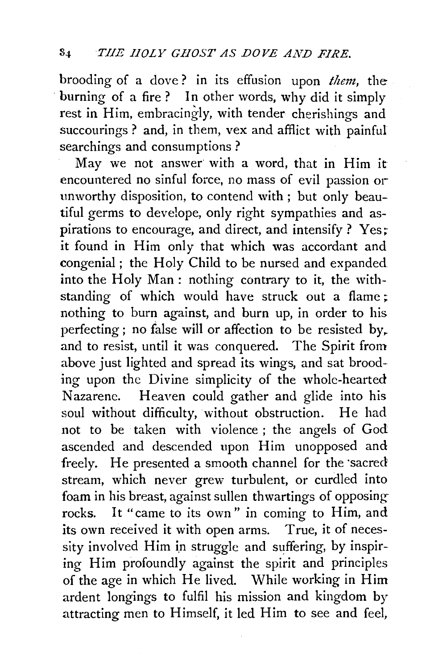brooding of a dove ? in its effusion upon *them,* the burning of a fire? In other words, why did it simply rest in Him, embracingly, with tender cherishings and succourings ? and, in them, vex and afflict with painful searchings and consumptions ?

May we not answer with a word, that in Him it encountered no sinful force, no mass of evil passion or unworthy disposition, to contend with ; but only beautiful germs to develope, only right sympathies and aspirations to encourage, and direct, and intensify ? Yes; it found in Him only that which was accordant and congenial; the Holy Child to be nursed and expanded into the Holy Man : nothing contrary to it, the withstanding of which would have struck out a flame; nothing to burn against, and burn up, in order to his perfecting; no false will or affection to be resisted by. and to resist, until it was conquered. The Spirit from above just lighted and spread its wings, and sat brooding upon the Divine simplicity of the whole-hearted Nazarene. Heaven could gather and glide into his soul without difficulty, without obstruction. He had not to be taken with violence ; the angels of God ascended and descended upon Him unopposed and freely. He presented a smooth channel for the sacred stream, which never grew turbulent, or curdled into foam in his breast, against sullen thwartings of opposing rocks. It "came to its own" in coming to Him, and its own received it with open arms. True, it of necessity involved Him in struggle and suffering, by inspiring Him profoundly against the spirit and principles of the age in which He lived. While working in Him ardent longings to fulfil his mission and kingdom by attracting men to Himself, it led Him to see and feel,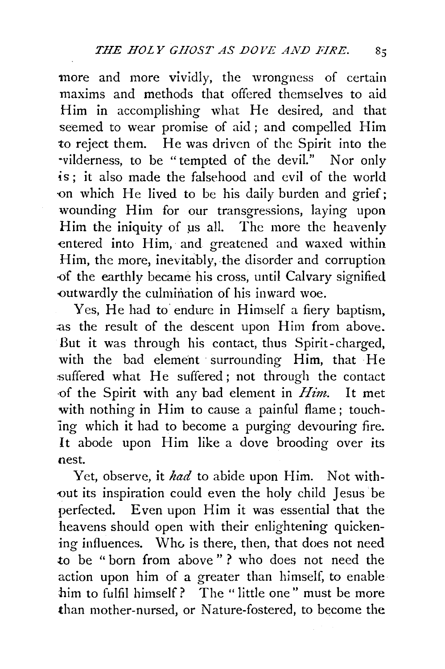more and more vividly, the wrongness of certain maxims and methods that offered themselves to aid Him in accomplishing what He desired, and that seemed to wear promise of aid; and compelled Him to reject them. He was driven of the Spirit into the ·vilderness, to be "tempted of the devil." Nor only is ; it also made the falsehood and evil of the world on which He lived to be his daily burden and grief; wounding Him for our transgressions, laying upon Him the iniquity of us all. The more the heavenly entered into Him, and greatened and waxed within Him, the more, inevitably, the disorder and corruption -Of the earthly became his cross, until Calvary signified -0utwardly the culmination of his inward woe.

Yes, He had to endure in Himself a fiery baptism, as the result of the descent upon Him from above. But it was through his contact, thus Spirit-charged, with the bad element surrounding Him, that He :suffered what He suffered; not through the contact of the Spirit with any bad element in *Him*. It met with nothing in Him to cause a painful flame; touching which it had to become a purging devouring fire. It abode upon Him like a dove brooding over its nest.

Yet, observe, it *had* to abide upon Him. Not without its inspiration could even the holy child Jesus be perfected. Even upon Him it was essential that the heavens should open with their enlightening quickening influences. Who is there, then, that does not need to be " born from above " ? who does not need the action upon him of a greater than himself, to enable him to fulfil himself? The " little one" must be more than mother-nursed, or Nature-fostered, to become the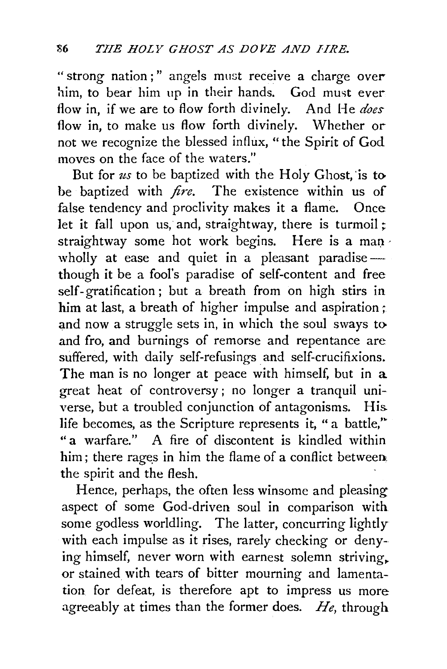"strong nation;" angels must receive a charge over him, to bear him up in their hands. God must ever flow in, if we are to flow forth divinely. And He *does*  flow in, to make us flow forth divinely. Whether or not we recognize the blessed influx, "the Spirit of God moves on the face of the waters."

But for *us* to be baptized with the Holy Ghost, is to be baptized with *fire*. The existence within us of false tendency and proclivity makes it a flame. Once let it fall upon us, and, straightway, there is turmoil ; straightway some hot work begins. Here is a man wholly at ease and quiet in a pleasant paradise though it be a fool's paradise of self-content and free self- gratification ; but a breath from on high stirs in him at last, a breath of higher impulse and aspiration ; and now a struggle sets in, in which the soul sways to and fro, and burnings of remorse and repentance are suffered, with daily self-refusings and self-crucifixions. The man is no longer at peace with himself, but in a great heat of controversy ; no longer a tranquil universe, but a troubled conjunction of antagonisms. His. life becomes, as the Scripture represents it, "a battle," "a warfare." A fire of discontent is kindled within him; there rages in him the flame of a conflict between. the spirit and the flesh.

Hence, perhaps, the often less winsome and pleasing aspect of some God-driven soul in comparison with some godless worldling. The latter, concurring lightly with each impulse as it rises, rarely checking or denying himself, never worn with earnest solemn striving,. or stained with tears of bitter mourning and lamentation for defeat, is therefore apt to impress us more agreeably at times than the former does. *He,* through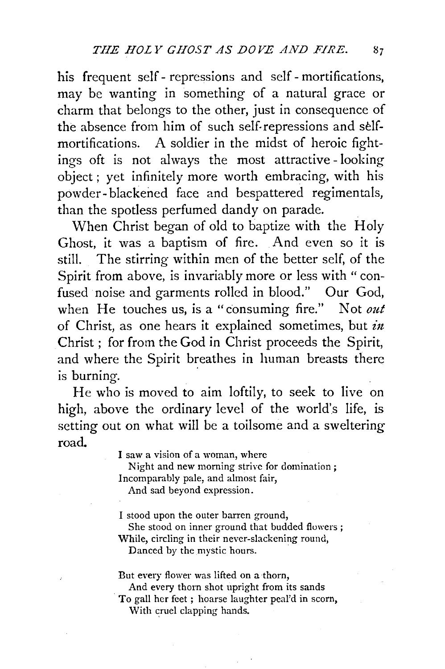his frequent self - repressions and self - mortifications, may be wanting in something of a natural grace or charm that belongs to the other, just in consequence of the absence from him of such self. repressions and selfmortifications. A soldier in the midst of heroic fightings oft is not always the most attractive - looking object ; yet infinitely more worth embracing, with his powder- blackened face and bespattered regimentals, than the spotless perfumed dandy on parade.

When Christ began of old to baptize with the Holy Ghost, it was a baptism of fire. And even so it is still. The stirring within men of the better self, of the Spirit from above, is invariably more or less with "confused noise and garments rolled in blood." Our God, when He touches us, is a" consuming fire." Not *out*  of Christ, as one hears it explained sometimes, but *in* Christ ; for from the God in Christ proceeds the Spirit, and where the Spirit breathes in human breasts there is burning.

He who is moved to aim loftily, to seek to live on high, above the ordinary level of the world's life, is setting out on what will be a toilsome and a sweltering road.

I saw a vision of a woman, where

Night and new morning strive for domination; Incomparably pale, and almost fair,

And sad beyond expression.

I stood upon the outer barren ground, She stood on inner ground that budded flowers ; While, circling in their never-slackening round,

Danced by the mystic hours.

But every flower was lifted on a thorn, And every thorn shot upright from its sands To gall her feet ; hoarse laughter peal'd in scorn,

With cruel clapping hands.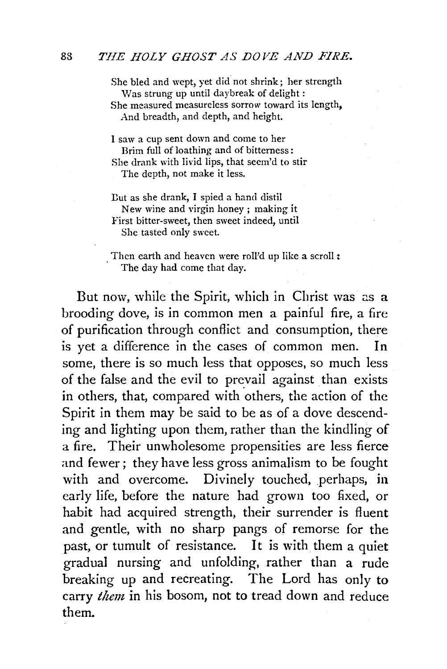She bled and wept, yet did not shrink; her strength Was strung up until daybreak of delight: She measured measureless sorrow toward its length, And breadth, and depth, and height.

I saw a cup sent down and come to her Brim full of loathing and of bitterness: She drank with livid lips, that seem'd to stir The depth, not make it less.

- Dut as she drank, I spied a hand distil New wine and virgin honey ; making it First bitter-sweet, then sweet indeed, until She tasted only sweet.
- , Then earth and heaven were roll'd up like a scroll : The day had come that day.

But now, while the Spirit, which in Christ was as a brooding dove, is in common men a painful fire, a fire of purification through conflict and consumption, there is yet a difference in the cases of common men. In some, there is so much less that opposes, so much less of the false and the evil to prevail against than exists in others, that, compared with others, the action of the Spirit in them may be said to be as of a dove descending and lighting upon them, rather than the kindling of a fire. Their unwholesome propensities are less fierce and fewer; they have less gross animalism to be fought with and overcome. Divinely touched, perhaps, in early life, before the nature had grown too fixed, or habit had acquired strength, their surrender is fluent and gentle, with no sharp pangs of remorse for the past, or tumult of resistance. It is with them a quiet gradual nursing and unfolding, rather than a rude breaking up and recreating. The Lord has only to carry *them* in his bosom, not to tread down and reduce them.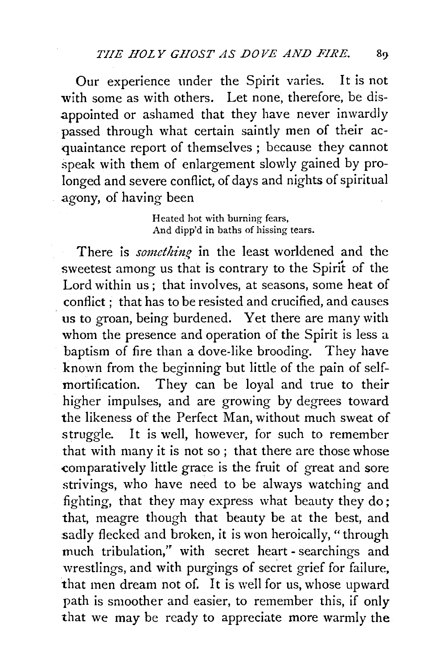Our experience under the Spirit varies. It is not with some as with others. Let none, therefore, be disappointed or ashamed that they have never inwardly passed through what certain saintly men of their acquaintance report of themselves ; because they cannot speak with them of enlargement slowly gained by prolonged and severe conflict, of days and nights of spiritual agony, of having been

> Heated hot with burning fears, And dipp'd in baths of hissing tears.

There is *something* in the least worldened and the sweetest among us that is contrary to the Spirit of the Lord within us; that involves, at seasons, some heat of conflict ; that has to be resisted and crucified, and causes us to groan, being burdened. Yet there are many with whom the presence and operation of the Spirit is less a baptism of fire than a dove-like brooding. They have known from the beginning but little of the pain of selfmortification. They can be loyal and true to their higher impulses, and are growing by degrees toward the likeness of the Perfect Man, without much sweat of struggle. It is well, however, for such to remember that with many it is not so; that there are those whose comparatively little grace is the fruit of great and sore strivings, who have need to be always watching and fighting, that they may express what beauty they do; that, meagre though that beauty be at the best, and sadly flecked and broken, it is won heroically, "through much tribulation," with secret heart - searchings and wrestlings, and with purgings of secret grief for failure, that men dream not of. It is well for us, whose upward path is smoother and easier, to remember this, if only that we may be ready to appreciate more warmly the